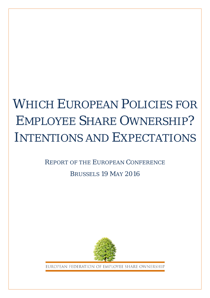# WHICH EUROPEAN POLICIES FOR EMPLOYEE SHARE OWNERSHIP? INTENTIONS AND EXPECTATIONS

## REPORT OF THE EUROPEAN CONFERENCE

## BRUSSELS 19 MAY 2016



EUROPEAN FEDERATION OF EMPLOYEE SHARE OWNERSHI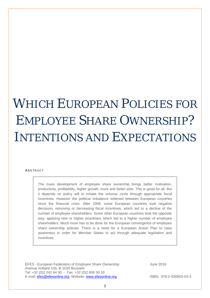# WHICH EUROPEAN POLICIES FOR EMPLOYEE SHARE OWNERSHIP? INTENTIONS AND EXPECTATIONS

#### **ABSTRACT**

The mass development of employee share ownership brings better motivation, productivity, profitability, higher growth, more and better jobs. This is good for all. But it depends on policy will to initiate the virtuous circle through appropriate fiscal incentives. However the political imbalance widened between European countries since the financial crisis. After 2008, some European countries took negative decisions, removing or decreasing fiscal incentives, which led to a decline of the number of employee shareholders. Some other European countries took the opposite way, applying new or higher incentives, which led to a higher number of employee shareholders. Much more has to be done for the European convergence of employee share ownership policies. There is a need for a European Action Plan to raise awareness in order for Member States to act through adequate legislation and incentives.

EFES - European Federation of Employee Share Ownership June 2016 Avenue Voltaire 135, B-1030 Brussels Tel: +32 (0)2 242 64 30 - Fax: +32 (0)2 808 30 33 E-mail: [efes@efesonline.org](mailto:efes@efesonline.org) Website: [www.efesonline.org](http://www.efesonline.org/) ISBN: 978-2-930903-03-3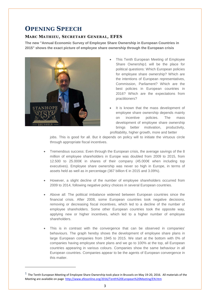## **OPENING SPEECH**

### **MARC MATHIEU, SECRETARY GENERAL, EFES**

**The new "Annual Economic Survey of Employee Share Ownership in European Countries in 2015" shows the exact picture of employee share ownership through the European crisis**



 $\overline{a}$ 

- This Tenth European Meeting of Employee Share Ownership[1](#page-2-0) will be the place for political questions: Which European policies for employee share ownership? Which are the intentions of European representatives, Commission, Parliament? Which are the best policies in European countries in 2016? Which are the expectations from practitioners?
- It is known that the mass development of employee share ownership depends mainly on incentive policies. The mass development of employee share ownership brings better motivation, productivity, profitability, higher growth, more and better

jobs. This is good for all. But it depends on policy will to initiate the virtuous circle through appropriate fiscal incentives.

- Tremendous success: Even through the European crisis, the average savings of the 8 million of employee shareholders in Europe was doubled from 2009 to 2015, from 12.500 to 25.000€ in shares of their company (45.000€ when including top executives). Employee share ownership was never so high in Europe, in terms of assets held as well as in percentage (367 billion € in 2015 and 3.09%).
- However, a slight decline of the number of employee shareholders occurred from 2009 to 2014, following negative policy choices in several European countries.
- Above all: The political imbalance widened between European countries since the financial crisis. After 2008, some European countries took negative decisions, removing or decreasing fiscal incentives, which led to a decline of the number of employee shareholders. Some other European countries took the opposite way, applying new or higher incentives, which led to a higher number of employee shareholders.
- This is in contrast with the convergence that can be observed in companies' behaviours. The graph hereby shows the development of employee share plans in large European companies from 1945 to 2015. We start at the bottom with 0% of companies having employee share plans and we go to 100% at the top, all European countries appearing in various colours. Companies show the same behaviour in all European countries. Companies appear to be the agents of European convergence in this matter.

<span id="page-2-0"></span> $^1$  The Tenth European Meeting of Employee Share Ownership took place in Brussels on May 19-20, 2016. All materials of the Meeting are available on page<http://www.efesonline.org/2016/Tenth%20European%20Meeting/EN.htm>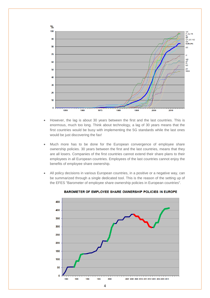

- However, the lag is about 30 years between the first and the last countries. This is enormous, much too long. Think about technology, a lag of 30 years means that the first countries would be busy with implementing the 5G standards while the last ones would be just discovering the fax!
- Much more has to be done for the European convergence of employee share ownership policies. 30 years between the first and the last countries, means that they are all losers. Companies of the first countries cannot extend their share plans to their employees in all European countries. Employees of the last countries cannot enjoy the benefits of employee share ownership.
- All policy decisions in various European countries, in a positive or a negative way, can be summarized through a single dedicated tool. This is the reason of the setting up of the EFES "Barometer of employee share ownership policies in European countries".



BAROMETER OF EMPLOYEE SHARE OWNERSHIP POLICIES IN EUROPE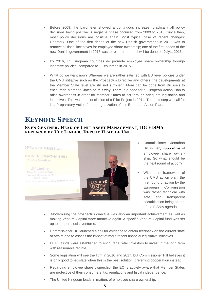- Before 2009, the barometer showed a continuous increase, practically all policy decisions being positive. A negative phase occurred from 2009 to 2013. Since then, most policy decisions are positive again. Most typical case of recent changes: Denmark. One of the first deeds of the new Danish government in 2011 was to remove all fiscal incentives for employee share ownership; one of the first deeds of the new Danish government in 2015 was to restore them, - il will be done on July1, 2016.
- By 2016, 14 European countries do promote employee share ownership through incentive policies, compared to 11 countries in 2015.
- What do we want now? Whereas we are rather satisfied with EU level policies under the CMU initiative such as the Prospectus Directive and others, the developments at the Member State level are still not sufficient. More can be done from Brussels to encourage Member States on this way. There is a need for a European Action Plan to raise awareness in order for Member States to act through adequate legislation and incentives. This was the conclusion of a Pilot Project in 2014. The next step we call for is a Preparatory Action for the organization of this European Action Plan.

## **KEYNOTE SPEECH**

#### **SVEN GENTNER, HEAD OF UNIT ASSET MANAGEMENT, DG FISMA REPLACED BY ULF LINDER, DEPUTY HEAD OF UNIT**



- Commissioner Jonathan Hill is very supportive of employee share ownership. So what should be the next round of action?
- Within the framework of the CMU action plan, the first round of action by the European Com-mission was rather technical with safe and transparent securitisation being on top of the FISMA agenda.
- Modernising the prospectus directive was also an important achievement as well as making Venture Capital more attractive again. A specific Venture Capital fund was set up to support social ventures.
- Commissioner Hill launched a call for evidence to obtain feedback on the current state of affairs and to assess the impact of more recent financial legislative initiatives.
- ELTIF funds were established to encourage retail investors to invest in the long term with reasonable returns.
- Some legislation will see the light in 2016 and 2017, but Commissioner Hill believes it is only good to legislate when this is the best solution, preferring cooperation instead.
- Regarding employee share ownership, the EC is acutely aware that Member States are protective of their consumers, tax regulations and fiscal independence.
- The United Kingdom leads in matters of employee share ownership.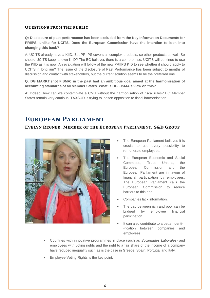**Q: Disclosure of past performance has been excluded from the Key Information Documents for PRIIPS, unlike for UCITS. Does the European Commission have the intention to look into changing this back?** 

A: UCITS already have a KIID. But PRIIPS covers all complex products, so other products as well. So should UCITS keep its own KIID? The EC believes there is a compromise: UCITS will continue to use the KIID as it is now. An evaluation will follow of the new PRIIPS KID to see whether it should apply to UCITS in long run? The issue of the disclosure of Past Performance has been subject to months of discussion and contact with stakeholders, but the current solution seems to be the preferred one.

#### **Q: DG MARKT (not FISMA) in the past had an ambitious goal aimed at the harmonisation of accounting standards of all Member States. What is DG FISMA's view on this?**

A: Indeed, how can we contemplate a CMU without the harmonisation of fiscal rules? But Member States remain very cautious. TAXSUD is trying to loosen opposition to fiscal harmonisation.

## **EUROPEAN PARLIAMENT**

#### **EVELYN REGNER, MEMBER OF THE EUROPEAN PARLIAMENT, S&D GROUP**



- The European Parliament believes it is crucial to use every possibility to remunerate employees.
- The European Economic and Social Committee, Trade Unions, the European Commission and the European Parliament are in favour of financial participation by employees. The European Parliament calls the European Commission to reduce barriers to this end.
- Companies lack information.
- The gap between rich and poor can be bridged by employee financial participation.
- It can also contribute to a better identi--fication between companies and employees.
- Countries with innovative programmes in place (such as *Sociedades Laborales*) and employees with voting rights and the right to a fair share of the income of a company have reduced inequality such as is the case in Greece, Spain, Portugal and Italy.
- Employee Voting Rights is the key point.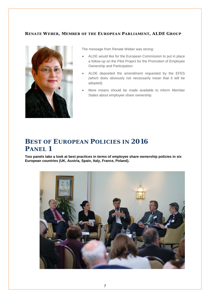#### **RENATE WEBER, MEMBER OF THE EUROPEAN PARLIAMENT, ALDE GROUP**



The message from Renate Weber was strong:

- ALDE would like for the European Commission to put in place a follow-up on the Pilot Project for the Promotion of Employee Ownership and Participation.
- ALDE deposited the amendment requested by the EFES (which does obviously not necessarily mean that it will be adopted).
- More means should be made available to inform Member States about employee share ownership.

## **BEST OF EUROPEAN POLICIES IN 2016 PANEL 1**

**Two panels take a look at best practices in terms of employee share ownership policies in six European countries (UK, Austria, Spain, Italy, France, Poland).**

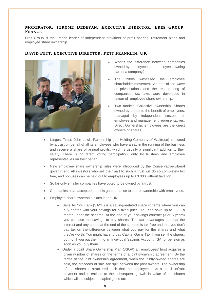#### **MODERATOR: JÉRÔME DEDEYAN, EXECUTIVE DIRECTOR, ERES GROUP, FRANCE**

Eres Group is the French leader of independent providers of profit sharing, retirement plans and employee share ownership.



#### **DAVID PETT, EXECUTIVE DIRECTOR, PETT FRANKLIN, UK**

- What's the difference between companies owned by employees and employees owning part of a company?
- The 1980s witnessed the employee shareholder movement. As part of the wave of privatisations and the restructuring of companies, tax laws were developed in favour of employee share ownership.
- Two models: Collective ownership: Shares owned by a trust to the benefit of employees, managed by independent trustees or employee and management representatives. Direct Ownership: employees are the direct owners of shares.
- Largest Trust: John Lewis Partnership (the Holding Company of Waitrose) is owned by a trust on behalf of all its employees who have a say in the running of the business and receive a share of annual profits, which is usually a significant addition to their salary. There is no direct voting participation, only by trustees and employee representatives on their behalf.
- New employee share ownership rules were introduced by the Conservative-Liberal government: All investors who sell their part to such a trust will do so completely tax free, and bonuses can be paid out to employees up to £3.000 without taxation.
- So far only smaller companies have opted to be owned by a trust.
- Companies have accepted that it is good practice to share ownership with employees.
- Employee share ownership plans in the UK:
	- Save As You Earn (SAYE) is a savings-related share scheme where you can buy shares with your savings for a fixed price. You can save up to £500 a month under the scheme. At the end of your savings contract (3 or 5 years) you can use the savings to buy shares. The tax advantages are that the interest and any bonus at the end of the scheme is tax-free and that you don't pay tax on the difference between what you pay for the shares and what they're worth. You might have to pay Capital Gains Tax if you sell the shares, but not if you put them into an Individual Savings Account (ISA) or pension as soon as you buy them.
	- Under a Joint Share Ownership Plan (JSOP) an employees' trust acquires a given number of shares on the terms of a joint ownership agreement. By the terms of the joint ownership agreement, when the jointly-owned shares are sold, the proceeds of sale are split between the joint owners. The ownership of the shares is structured such that the employee pays a small upfront payment and is entitled to the subsequent growth in value of the shares which will be subject to capital gains tax.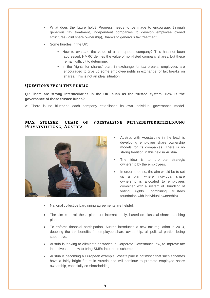- What does the future hold? Progress needs to be made to encourage, through generous tax treatment, independent companies to develop employee owned structures (joint share ownership), thanks to generous tax treatment.
- Some hurdles in the UK:
	- How to evaluate the value of a non-quoted company? This has not been addressed. HMRC defines the value of non-listed company shares, but these remain difficult to determine.
	- In the "rights for shares" plan, in exchange for tax breaks, employees are encouraged to give up some employee rights in exchange for tax breaks on shares. This is not an ideal situation.

**Q.: There are strong intermediaries in the UK, such as the trustee system. How is the governance of these trustee funds?** 

A: There is no blueprint; each company establishes its own individual governance model.

#### **MAX STELZER, CHAIR OF VOESTALPINE MITARBEITERBETEILIGUNG PRIVATSTIFTUNG, AUSTRIA**



- Austria, with Voestalpine in the lead, is developing employee share ownership models for its companies. There is no strong tradition in this field in Austria.
- The idea is to promote strategic ownership by the employees.
- In order to do so, the aim would be to set up a plan where individual share ownership is allocated to employees combined with a system of bundling of voting rights (combining trustees foundation with individual ownership).
- National collective bargaining agreements are helpful.
- The aim is to roll these plans out internationally, based on classical share matching plans.
- To enforce financial participation, Austria introduced a new tax regulation in 2013, doubling the tax benefits for employee share ownership, all political parties being supportive.
- Austria is looking to eliminate obstacles in Corporate Governance law, to improve tax incentives and how to bring SMEs into these schemes.
- Austria is becoming a European example. Voestalpine is optimistic that such schemes have a fairly bright future in Austria and will continue to promote employee share ownership, especially co-shareholding.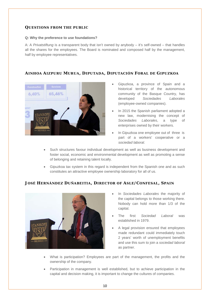#### **Q: Why the preference to use foundations?**

A: A *Privatstiftung* is a transparent body that isn't owned by anybody – it's self-owned – that handles all the shares for the employees. The Board is nominated and composed half by the management, half by employee representatives.

#### **AINHOA AIZPURU MURUA, DIPUTADA, DIPUTACIÓN FORAL DE GIPUZKOA**



- Gipuzkoa, a province of Spain and a historical territory of the autonomous community of the Basque Country, has developed *Sociedades Laborales* (employee-owned companies).
- In 2015 the Spanish parliament adopted a new law, modernising the concept of *Sociedades Laborales*, a type of enterprises owned by their workers.
- In Gipuzkoa one employee out of three is part of a workers' cooperative or a *sociedad laboral*.
- Such structures favour individual development as well as business development and foster social, economic and environmental development as well as promoting a sense of belonging and retaining talent locally.
- Gipuzkoa tax system in this regard is independent from the Spanish one and as such constitutes an attractive employee ownership laboratory for all of us.

#### **JOSÉ HERNÁNDEZ DUÑABEITIA, DIRECTOR OF ASLE/CONFESAL, SPAIN**



- In *Sociedades Laborales* the majority of the capital belongs to those working there. Nobody can hold more than 1/3 of the capital.
- The first *Sociedad Laboral* was established in 1979.
- A legal provision ensured that employees made redundant could immediately touch 2 years' worth of unemployment benefits and use this sum to join a *sociedad laboral* as partner.
- What is participation? Employees are part of the management, the profits and the ownership of the company.
- Participation in management is well established, but to achieve participation in the capital and decision making, it is important to change the cultures of companies.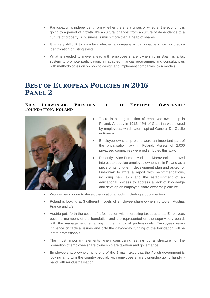- Participation is independent from whether there is a crises or whether the economy is going to a period of growth. It's a cultural change: from a culture of dependence to a culture of property. A business is much more than a heap of shares.
- It is very difficult to ascertain whether a company is participative since no precise identification or listing exists.
- What is needed to move ahead with employee share ownership in Spain is a tax system to promote participation, an adapted financial programme, and consultancies with methodologies on on how to design and implement companies' own models.

## **BEST OF EUROPEAN POLICIES IN 2016 PANEL 2**

#### **KRIS LUDWINIAK, PRESIDENT OF THE EMPLOYEE OWNERSHIP FOUNDATION, POLAND**



- There is a long tradition of employee ownership in Poland. Already in 1912, 46% of Gasolina was owned by employees, which later inspired General De Gaulle in France.
- Employee ownership plans were an important part of the privatisation law in Poland. Assets of 2.000 privatised companies were redistributed this way.
- Recently Vice-Prime Minister Morawiecki showed interest to develop employee ownership in Poland as a piece of its long-term development plan and asked for Ludwiniak to write a report with recommendations, including new laws and the establishment of an educational process to address a lack of knowledge and develop an employee share ownership culture.
- Work is being done to develop educational tools, including a documentary.
- Poland is looking at 3 different models of employee share ownership tools : Austria, France and US.
- Austria puts forth the option of a foundation with interesting tax structures. Employees become members of the foundation and are represented on the supervisory board, with the management remaining in the hands of professionals. Employees retain influence on tactical issues and only the day-to-day running of the foundation will be left to professionals.
- The most important elements when considering setting up a structure for the promotion of employee share ownership are taxation and governance.
- Employee share ownership is one of the 5 main axes that the Polish government is looking at to turn the country around, with employee share ownership going hand-inhand with reindustrialisation.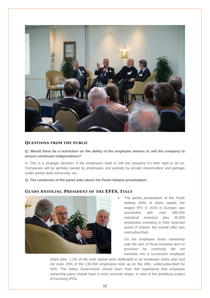

**Q: Would there be a restriction on the ability of the employee owners to sell the company to ensure continued independence?** 

A: This is a strategic decision, if the employees want to sell the company it's their right to do so. Companies will be partially owned by employees and partially by private shareholders and perhaps under partial state ownership, etc.

**Q: The conductor of the panel asks about the** *Poste Italiane* **privatization:**



#### **GUIDO ANTOLINI , PRESIDENT OF THE EFES, ITALY**

• The partial privatisation of the *Poste Italiane* (40% of share capital, the largest IPO in 2015 in Europe) was successful with over 300.000 individual investors plus 26.000 employees investing in their reserved quota of shares; the overall offer was oversubscribed.

On the employee share ownership side the lack of fiscal incentive and no provision for continuity did not translate into a successful employee

share plan. 1,2% of the total capital were dedicated to an employee share plan and not even 25% of the 130.000 employees took up on the offer, undersubscribed by 50%. The Italian Government should learn from this experience that employee ownership plans should have a more concrete shape, in view of the ambitious project of incoming IPOs.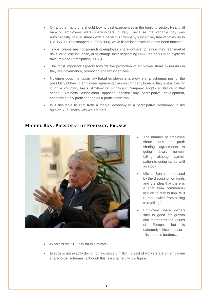- On another hand one should look to past experiences in the banking sector. Nearly all banking employees were shareholders in Italy because the variable pay was automatically paid in shares with a generous Company's incentive, free of taxes up to € 2.065,00. This stopped in 2005/2006, while fiscal incentives have not been touched.
- Trade Unions are not promoting employee share ownership, since they fear market risks, or to lose influence, or to change their negotiating DNA; the only Union explicitly favourable to Participation is CISL.
- The most important aspects towards the promotion of employee share ownership in Italy are governance, promotion and tax incentives.
- Nowhere does the Italian law forbid employee share ownership schemes nor for the possibility of having employee representatives on company boards. Italy just allows for it, on a voluntary basis. Anyhow no significant Company adopts a Statute in that sense. Business Association opposes against any participative development, conceiving only profit sharing as a participative tool
- Is it desirable to shift from a market economy to a participative economy? In my opinion YES, that's why we are here.

#### **MICHEL BON, PRESIDENT OF FONDACT, FRANCE**



- The number of employee share plans and profit sharing agreements is going down, number falling, although participation is going up as well as stock.
- Michel Bon is impressed by the discussion on funds and the idea that there is a shift from commercialisation to distribution. Will Europe switch from selling to retailing?
- Employee share ownership is good for growth and represents the values of Europe, but is extremely difficult to establish across borders…
- Where is the EU unity on this matter?
- Europe is not exactly doing nothing since 8 million (3.2%) of workers are on employee shareholder schemes, although this is a shamefully low figure.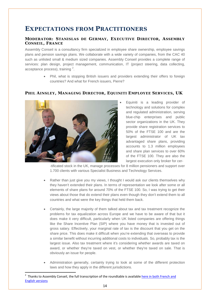## **EXPECTATIONS FROM PRACTITIONERS**

#### **MODERATOR: STANISLAS DE GERMAY, EXECUTIVE DIRECTOR, ASSEMBLY CONSEIL, FRANCE**

Assembly Conseil is a consultancy firm specialized in employee share ownership, employee savings plans and pension savings plans. We collaborate with a wide variety of companies, from the CAC 40 such as unlisted small & medium sized companies. Assembly Conseil provides a complete range of services: plan design, project management, communication, IT (project steering, data collecting, acceptance process), training <sup>[2](#page-13-0)</sup>.

> • Phil, what is stopping British issuers and providers extending their offers to foreign countries? And what for French issuers, Pierre?

#### **PHIL AINSLEY, MANAGING DIRECTOR, EQUINITI EMPLOYEE SERVICES, UK**



• Equiniti is a leading provider of technology and solutions for complex and regulated administration, serving blue-chip enterprises and public sector organizations in the UK. They provide share registration services to 50% of the FTSE 100 and are the largest administrator of UK tax advantaged share plans, providing accounts to 1.3 million employees and share plan services to over 60% of the FTSE 100. They are also the largest execution only broker for cer-

-tificated stock in the UK, manage processes for 8 million pensioners and support over 1.700 clients with various Specialist Business and Technology Services.

- Rather than just give you my views, I thought I would ask our clients themselves why they haven't extended their plans. In terms of representation we look after some or all elements of share plans for around 70% of the FTSE 100. So, I was trying to get their views about those that do extend their plans even though they don't extend them to all countries and what were the key things that held them back.
- Certainly, the large majority of them talked about tax and tax treatment recognize the problems for tax equalization across Europe and we have to be aware of that but it does make it very difficult, particularly when UK listed companies are offering things like the Share Incentive Plan (SIP) where you have money that is invested out of gross salary. Effectively, your marginal rate of tax is the discount that you get on the share price. This does make it difficult when you're extending that overseas to provide a similar benefit without incurring additional costs to individuals. So, probably tax is the largest issue. Also tax treatment where it's considering whether awards are taxed on award, or whether they're taxed on vest, or whether they're taxed on sale. That is obviously an issue for people.
- Administration generally, certainly trying to look at some of the different protection laws and how they apply in the different jurisdictions.

<span id="page-13-0"></span> $\frac{1}{2}$ <sup>2</sup> Thanks to Assembly Conseil, the full transcription of the roundtable is available here in both French and [English versions](http://www.efesonline.org/2016/Tenth%20European%20Meeting/EN.htm)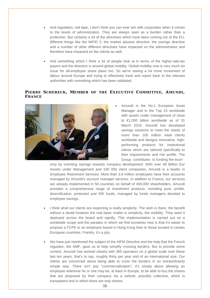- And regulation, red tape, I don't think you can ever win with corporates when it comes to the levels of administration. They are always seen as a burden rather than a protection. But certainly a lot of the directives which have been coming out of the EU, different things like the MiFID 2; the market abusive directive; the savings directive and a number of other different directives have impacted on the administrative and therefore have impacted on the clients as well.
- And something which I think a lot of people look at in terms of the higher-rate-tax payers and the directors is around global mobility. Global mobility now is very much an issue for all-employee share plans too. So we're seeing a lot more movement of labour around Europe and trying to effectively track and report back to the relevant authorities with something which has been validated.

#### **PIERRE SCHERECK, MEMBER OF THE EXECUTIVE COMMITTEE, AMUNDI , FRANCE**



Amundi is the No.1 European Asset Manager and in the Top 10 worldwide with assets under management of close to €1,000 billion worldwide as of 31 March 2016. Amundi has developed savings solutions to meet the needs of more than 100 million retail clients worldwide and designs innovative, highperforming products for institutional clients which are tailored specifically to their requirements and risk profile. The Group contributes to funding the econ-

omy by orienting savings towards company development. With over 48 Billion Eur Assets under Management and 100 000 client companies, Amundi is a leader in Employee Retirement Services. More than 3.8 million employees have their accounts managed by Amundi's account manager services. In addition to France, our services are already implemented in 50 countries on behalf of 400,000 shareholders. Amundi provides a comprehensive range of investment products, including pure, profile, diversification, protected and SRI funds, managed by funds managers devoted to employee savings.

- I think what our clients are expecting is really simplicity. The wish is there, the benefit without a doubt however the real basic matter is simplicity, the visibility. They want it deployed across the board and rapidly. This implementation is carried out on a worldwide scope and the paradox in which we find ourselves now is that it's easier to propose a FCPE to an employee based in Hong Kong than to those located in certain European countries. Frankly, it's a pity.
- We have just mentioned the subject of the AIFM Directive and the help that the French regulator, the AMF, gave us to help simplify crossing borders. But to provide some context, Amundi has worked closely with 300 operators on a global scale over these last ten years, that's to say, roughly thirty per year and of an international size. Our clients are concerned about being able to cross the borders in an extraordinarily simple way. There isn't any "commercialization", it's simply about allowing an employee wherever he or she may be, at least in Europe, to be able to buy the shares that are proposed by their company via a vehicle, possibly collective, which is transparent and in which there are only shares.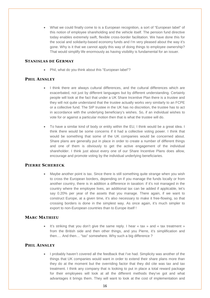• What we could finally come to is a European recognition, a sort of "European label" of this notion of employee shareholding and the vehicle itself. The pension fund directive today enables extremely swift, flexible cross-border facilitation. We have done this for the social and solidarity-based economy funds and I'm very pleased about the way it's gone. Why is it that we cannot apply this way of doing things to employee ownership? That would simplify life enormously as having visibility is fundamental for an issuer.

#### **STANISLAS DE GERMAY**

• Phil, what do you think about this "European label"?

#### **PHIL AINSLEY**

- I think there are always cultural differences, and the cultural differences which are exacerbated, not just by different languages but by different understanding. Certainly people will look at the fact that under a UK Share Incentive Plan there is a trustee and they will not quite understand that the trustee actually works very similarly to an FCPE or a collective fund. The SIP trustee in the UK has no discretion, the trustee has to act in accordance with the underlying beneficiary's wishes. So, if an individual wishes to vote for or against a particular motion then that is what the trustee will do.
- To have a similar kind of body or entity within the EU, I think would be a great idea. I think there would be some concerns if it had a collective voting power. I think that would be something that some of the UK companies would be concerned about. Share plans are generally put in place in order to create a number of different things and one of them is obviously to get the active engagement of the individual shareholder. I think just about every one of our Share Incentive Plans does allow, encourage and promote voting by the individual underlying beneficiaries.

#### **PIERRE SCHERECK**

• Maybe another point is tax. Since there is still something quite strange when you wish to cross the European borders, depending on if you manage the funds locally or from another country, there is in addition a difference in taxation: if it's not managed in the country where the employee lives, an additional tax can be added if applicable, let's say 0.20% per year of the assets that you manage. There again, if we want to construct Europe, at a given time, it's also necessary to make it free-flowing, so that crossing borders is done in the simplest way. As once again, it's much simpler to export to non-European countries than to Europe itself !

#### **MARC MATHIEU**

It's striking that you don't give the same reply. I hear « tax » and « tax treatment » from the British side and then other things, and you Pierre, it's simplification and then…. And then… "tax" somewhere. Why such a big difference ?

#### **PHIL AINSLEY**

• I probably haven't covered all the feedback that I've had. Simplicity was another of the things that UK companies would want in order to extend their share plans more than they do at the moment but the overriding factor that they did cite was tax and tax treatment. I think any company that is looking to put in place a total reward package for their employees will look at all the different methods they've got and what advantages it brings them. They will want to look at the cost of implementation and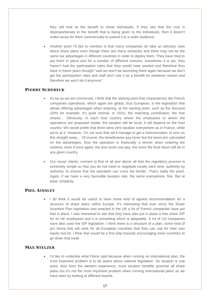they will look at the benefit to those individuals. If they see that the cost is disproportionate to the benefit that is being given to the individuals, then it doesn't make sense for them commercially to extend it to a wider audience.

• Another point I'd like to mention is that many companies do take an altruistic view about share plans even though there are many obstacles and there may not be the same tax advantages in different countries in order to deploy them. They have tried to put them in place and for a number of different reasons, sometimes it is tax, they haven't had the participation rates that they would have wanted and therefore they have in future years thought "well we won't be launching there again because we don't get the participation rates and staff don't see it as a benefit for whatever reason and therefore we won't do it anymore".

#### **PIERRE SCHERECK**

- As far as we are concerned, I think that the starting point that characterizes the French companies operations, which again are global, thus European, is the legislation that allows offering advantages when entering, at the starting point, such as the discount (20% for example, it's quite normal, or 15%), the matching contribution, the free shares… Obviously, in each host country where the employees to whom the operations are proposed reside, the taxation will be local, it will depend on the host country. We would prefer that there were zero taxation everywhere as in France, while we're at it. However, I'm not sure that we'll manage to get a harmonization of zero on this straight away… Of course, the beneficiaries pay taxes but the taxes are calculated on the advantages, thus the operation is financially a winner when entering the scheme, even if once again, the less taxes you pay, the more the final return will be in any given country.
- Our issuer clients' concern is first of all and above all that the regulatory process is extremely simple so that you do not need to negotiate locally each time, authority by authority, to ensure that the operation can cross the border. That's really the point. Again, if we have a very favorable taxation rate, the same everywhere, fine. But at least, simplicity.

#### **PHIL AINSLEY**

I do think it would be useful to have some kind of agreed recommendation for a structure of share plans within Europe. It's interesting that ever since the Share Incentive Plan legislation was enacted in the UK a lot of French companies have put that in place. I was interested to see that they have also put in place a free share SIP for its UK employees and it is something which is adaptable. A lot of US companies have also used the SIP legislation. I think there is a structure of a plan, some kind of pro forma that will work for all European countries that they can use for their own equity tool kit. I think that would be a first step towards encouraging more countries to go down that route.

#### **MAX STELZER**

• I'd like to underline what Pierre said because when running an international plan, the most important problem is to be aware about national legislation. So taxation is one point. Also from the western experience, more taxation benefits promote all share plans but it's not the most important problem when running international plans as we have seen by looking at different boards.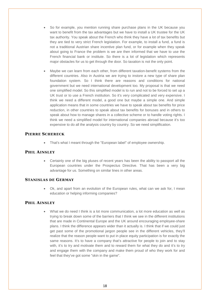- So for example, you mention running share purchase plans in the UK because you want to benefit from the tax advantages but we have to install a UK trustee for the UK tax authority. You speak about the French who think they have a lot of tax benefits but they are tied to very strict French legislation. For example, to install a fund, a fund is not a traditional Austrian share incentive plan fund, or for example when they speak about going to France the problem is we are then informed that we have to use the French financial bank or institute. So there is a lot of legislation which represents major obstacles for us to get through the door. So taxation is not the only point.
- Maybe we can learn from each other, from different taxation-benefit systems from the different countries. Also in Austria we are trying to instore a new type of share plan foundation system. So I think there are reasons and conditions for national government but we need international development too. My proposal is that we need one simplified model. So this simplified model is to run and not to be forced to set up a UK trust or to use a French institution. So it's very complicated and very expensive. I think we need a different model, a good one but maybe a simple one. And simple application means that in some countries we have to speak about tax benefits for price reduction, in other countries to speak about tax benefits for bonuses and in others to speak about how to manage shares in a collective scheme or to handle voting rights. I think we need a simplified model for international companies abroad because it's too expensive to do all the analysis country by country. So we need simplification.

#### **PIERRE SCHERECK**

• That's what I meant through the "European label" of employee ownership.

#### **PHIL AINSLEY**

• Certainly one of the big pluses of recent years has been the ability to passport all the European countries under the Prospectus Directive. That has been a very big advantage for us. Something on similar lines in other areas.

#### **STANISLAS DE GERMAY**

• Ok, and apart from an evolution of the European rules, what can we ask for, I mean education or helping informing companies?

#### **PHIL AINSLEY**

• What we do need I think is a lot more communication, a lot more education as well as trying to break down some of the barriers that I think we see in the different institutions that are made in Continental Europe and the UK around encouraging employee-share plans. I think the difference appears wider than it actually is. I think that if we could just get past some of the promotional jargon people see in the different vehicles, they'll realize that the reason people want to put in place equity participation is for exactly the same reasons. It's to have a company that's attractive for people to join and to stay with, it's to try and motivate them and to reward them for what they do and it's to try and engage them with the company and make them proud of who they work for and feel that they've got some "skin in the game".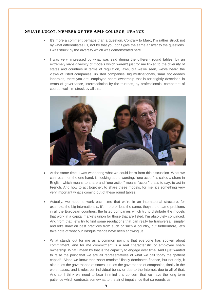#### **SYLVIE LUCOT, MEMBER OF THE AMF COLLEGE, FRANCE**

- It's more a comment perhaps than a question. Contrary to Marc, I'm rather struck not by what differentiates us, not by that you don't give the same answer to the questions. I was struck by the diversity which was demonstrated here.
- I was very impressed by what was said during the different round tables, by an extremely large diversity of models which weren't just for me linked to the diversity of states and countries in terms of regulation, laws, but we've seen, we've heard the views of listed companies, unlisted companies, big multinationals, small sociedades laborales, there you are, employee share ownership that is forthrightly described in terms of governance, intermediation by the trustees, by professionals, competent of course, well I'm struck by all this.



- At the same time, I was wondering what we could learn from this discussion. What we can retain, on the one hand, is, looking at the wording: "une action" is called a share in English which means to share and "une action" means "action" that's to say, to act in French. And how to act together, to share these models, for me, it's something very very important what's coming out of these round tables.
- Actually, we need to work each time that we're in an international structure, for example, the big internationals, it's more or less the same, they're the same problems in all the European countries, the listed companies which try to distribute the models that work in a capital markets union for those that are listed, I'm absolutely convinced. And from that, let's try to find some regulations that can really be transversal, simpler and let's draw on best practices from such or such a country, but furthermore, let's take note of what our Basque friends have been showing us.
- What stands out for me as a common point is that everyone has spoken about commitment, and for me commitment is a real characteristic of employee share ownership. What I mean by that is the capacity to engage over time. And I just wanted to raise the point that we are all representatives of what we call today the "patient capital". Since we know that "short-termism" finally dominates finance, but not only, it also rules the governance of states, it rules the governance of companies, finally in the worst cases, and it rules our individual behavior due to the Internet, due to all of that. And so, I think we need to bear in mind this concern that we have the long term patience which contrasts somewhat to the air of impatience that surrounds us.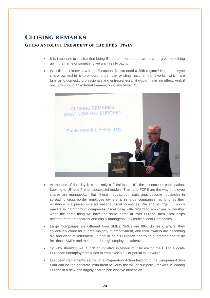## **CLOSING REMARKS**

#### **GUIDO ANTOLINI , PRESIDENT OF THE EFES, ITALY**

- It is important to realise that being European means that we have to give something up in the name of something we want really badly.
- We still don't know how to be European. Do we need a 29th regime? No, if employee share ownership is promoted under the existing national frameworks, which are familiar to domestic professionals and entrepreneurs, it would have no effect. And, if not, why should an external framework do any better ?



- At the end of the day it is not only a fiscal issue. It's the essence of participation. Looking to UK and French successful models, Trust and FCPE are the way employee shares are managed… But these models, both satisfying, become obstacles in spreading cross-border employee ownership in large companies, as long as their existence is a prerequisite for national fiscal incentives. We should urge EU policy makers in harmonizing companies' fiscal base with regard to employee ownership: when the same thing will have the same name all over Europe, then fiscal helps become more transparent and easily manageable by multinational Companies.
- Large Companies are different from SMEs: SMEs are 99% domestic affairs, they collectively count for a large majority of employment, and their owners are becoming old and close to retirement . It should be a European priority to guarantee continuity for those SMEs and their staff through employees takeover.
- So why shouldn't we launch an initiative in favour of it by asking the EU to allocate European unemployment funds to employee's full or partial takeovers?
- European Parliament's setting of a Preparatory Action leading to the European Action Plan can be the concrete instrument to verify the will of our policy makers in leading Europe in a new and largely shared participative dimension.